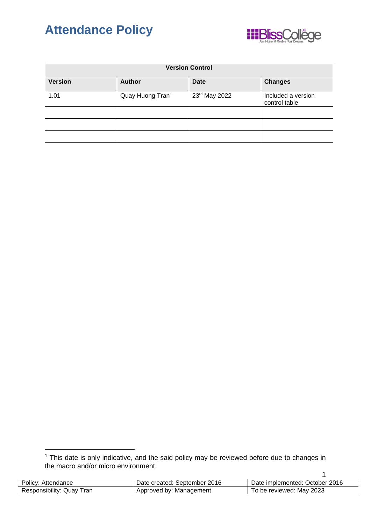



| <b>Version Control</b> |                              |                 |                                     |
|------------------------|------------------------------|-----------------|-------------------------------------|
| <b>Version</b>         | <b>Author</b>                | <b>Date</b>     | <b>Changes</b>                      |
| 1.01                   | Quay Huong Tran <sup>1</sup> | $23rd$ May 2022 | Included a version<br>control table |
|                        |                              |                 |                                     |
|                        |                              |                 |                                     |
|                        |                              |                 |                                     |

<sup>1</sup> This date is only indicative, and the said policy may be reviewed before due to changes in the macro and/or micro environment.

| Policy: Attendance        | Date created: September 2016 | Date implemented: October 2016 |
|---------------------------|------------------------------|--------------------------------|
| Responsibility: Quay Tran | Approved by: Management      | To be reviewed: May 2023       |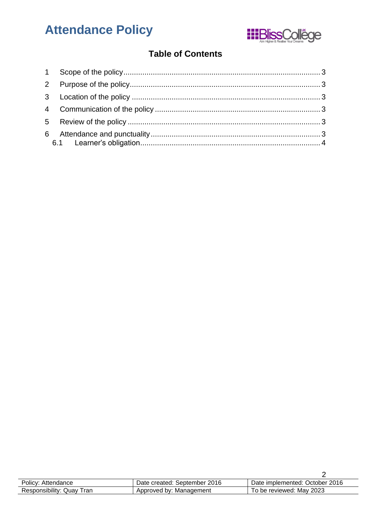# **Attendance Policy**



### **Table of Contents**

| Policy: Attendance        | Date created: September 2016 | Date implemented: October 2016 |
|---------------------------|------------------------------|--------------------------------|
| Responsibility: Quay Tran | Approved by: Management      | To be reviewed: May 2023       |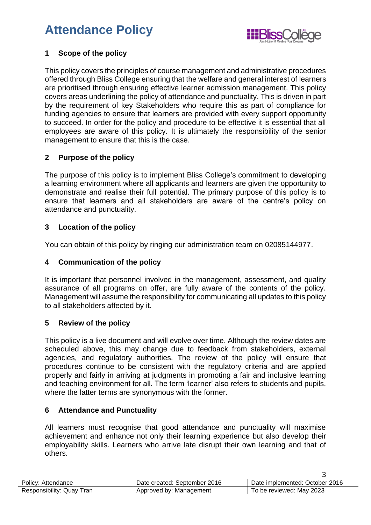## **Attendance Policy**



#### <span id="page-2-0"></span>**1 Scope of the policy**

This policy covers the principles of course management and administrative procedures offered through Bliss College ensuring that the welfare and general interest of learners are prioritised through ensuring effective learner admission management. This policy covers areas underlining the policy of attendance and punctuality. This is driven in part by the requirement of key Stakeholders who require this as part of compliance for funding agencies to ensure that learners are provided with every support opportunity to succeed. In order for the policy and procedure to be effective it is essential that all employees are aware of this policy. It is ultimately the responsibility of the senior management to ensure that this is the case.

#### <span id="page-2-1"></span>**2 Purpose of the policy**

The purpose of this policy is to implement Bliss College's commitment to developing a learning environment where all applicants and learners are given the opportunity to demonstrate and realise their full potential. The primary purpose of this policy is to ensure that learners and all stakeholders are aware of the centre's policy on attendance and punctuality.

#### <span id="page-2-2"></span>**3 Location of the policy**

You can obtain of this policy by ringing our administration team on 02085144977.

#### <span id="page-2-3"></span>**4 Communication of the policy**

It is important that personnel involved in the management, assessment, and quality assurance of all programs on offer, are fully aware of the contents of the policy. Management will assume the responsibility for communicating all updates to this policy to all stakeholders affected by it.

#### <span id="page-2-4"></span>**5 Review of the policy**

This policy is a live document and will evolve over time. Although the review dates are scheduled above, this may change due to feedback from stakeholders, external agencies, and regulatory authorities. The review of the policy will ensure that procedures continue to be consistent with the regulatory criteria and are applied properly and fairly in arriving at judgments in promoting a fair and inclusive learning and teaching environment for all. The term 'learner' also refers to students and pupils, where the latter terms are synonymous with the former.

#### <span id="page-2-5"></span>**6 Attendance and Punctuality**

All learners must recognise that good attendance and punctuality will maximise achievement and enhance not only their learning experience but also develop their employability skills. Learners who arrive late disrupt their own learning and that of others.

| Policy: Attendance        | Date created: September 2016 | Date implemented: October 2016 |
|---------------------------|------------------------------|--------------------------------|
| Responsibility: Quay Tran | Approved by: Management      | To be reviewed: May 2023       |